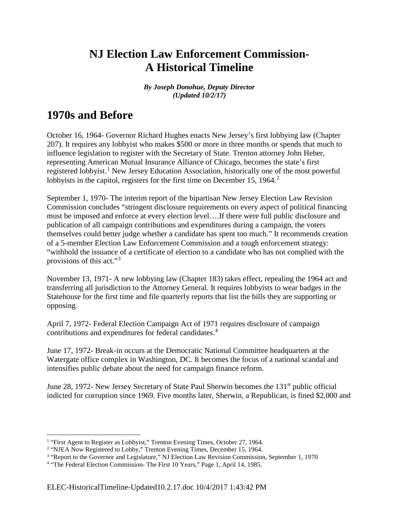# **NJ Election Law Enforcement Commission-A Historical Timeline**

*By Joseph Donohue, Deputy Director (Updated 10/2/17)*

## **1970s and Before**

October 16, 1964- Governor Richard Hughes enacts New Jersey's first lobbying law (Chapter 207). It requires any lobbyist who makes \$500 or more in three months or spends that much to influence legislation to register with the Secretary of State. Trenton attorney John Heher, representing American Mutual Insurance Alliance of Chicago, becomes the state's first registered lobbyist.<sup>[1](#page-0-0)</sup> New Jersey Education Association, historically one of the most powerful lobbyists in the capitol, registers for the first time on December 15, 1964.<sup>[2](#page-0-1)</sup>

September 1, 1970- The interim report of the bipartisan New Jersey Election Law Revision Commission concludes "stringent disclosure requirements on every aspect of political financing must be imposed and enforce at every election level….If there were full public disclosure and publication of all campaign contributions and expenditures during a campaign, the voters themselves could better judge whether a candidate has spent too much." It recommends creation of a 5-member Election Law Enforcement Commission and a tough enforcement strategy: "withhold the issuance of a certificate of election to a candidate who has not complied with the provisions of this act."[3](#page-0-2)

November 13, 1971- A new lobbying law (Chapter 183) takes effect, repealing the 1964 act and transferring all jurisdiction to the Attorney General. It requires lobbyists to wear badges in the Statehouse for the first time and file quarterly reports that list the bills they are supporting or opposing.

April 7, 1972- Federal Election Campaign Act of 1971 requires disclosure of campaign contributions and expenditures for federal candidates.[4](#page-0-3)

June 17, 1972- Break-in occurs at the Democratic National Committee headquarters at the Watergate office complex in Washington, DC. It becomes the focus of a national scandal and intensifies public debate about the need for campaign finance reform.

June 28, 1972- New Jersey Secretary of State Paul Sherwin becomes the  $131<sup>st</sup>$  public official indicted for corruption since 1969. Five months later, Sherwin, a Republican, is fined \$2,000 and

<span id="page-0-0"></span><sup>&</sup>lt;sup>1</sup> "First Agent to Register as Lobbyist," Trenton Evening Times, October 27, 1964.

<span id="page-0-1"></span><sup>&</sup>lt;sup>2</sup> "NJEA Now Registered to Lobby," Trenton Evening Times, December 15, 1964.

<span id="page-0-2"></span><sup>&</sup>lt;sup>3</sup> "Report to the Governor and Legislature," NJ Election Law Revision Commission, September 1, 1970

<span id="page-0-3"></span><sup>4</sup> "The Federal Election Commission- The First 10 Years," Page 1, April 14, 1985.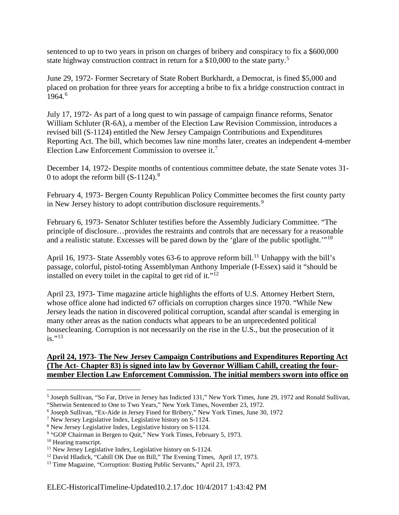sentenced to up to two years in prison on charges of bribery and conspiracy to fix a \$600,000 state highway construction contract in return for a \$10,000 to the state party.<sup>[5](#page-1-0)</sup>

June 29, 1972- Former Secretary of State Robert Burkhardt, a Democrat, is fined \$5,000 and placed on probation for three years for accepting a bribe to fix a bridge construction contract in 19[6](#page-1-1)4.<sup>6</sup>

July 17, 1972- As part of a long quest to win passage of campaign finance reforms, Senator William Schluter (R-6A), a member of the Election Law Revision Commission, introduces a revised bill (S-1124) entitled the New Jersey Campaign Contributions and Expenditures Reporting Act. The bill, which becomes law nine months later, creates an independent 4-member Election Law Enforcement Commission to oversee it.[7](#page-1-2)

December 14, 1972- Despite months of contentious committee debate, the state Senate votes 31- 0 to adopt the reform bill  $(S-1124)$ .<sup>[8](#page-1-3)</sup>

February 4, 1973- Bergen County Republican Policy Committee becomes the first county party in New Jersey history to adopt contribution disclosure requirements.<sup>[9](#page-1-4)</sup>

February 6, 1973- Senator Schluter testifies before the Assembly Judiciary Committee. "The principle of disclosure…provides the restraints and controls that are necessary for a reasonable and a realistic statute. Excesses will be pared down by the 'glare of the public spotlight.'"<sup>[10](#page-1-5)</sup>

April 16, 1973- State Assembly votes 63-6 to approve reform bill.<sup>[11](#page-1-6)</sup> Unhappy with the bill's passage, colorful, pistol-toting Assemblyman Anthony Imperiale (I-Essex) said it "should be installed on every toilet in the capital to get rid of it." $12$ 

April 23, 1973- Time magazine article highlights the efforts of U.S. Attorney Herbert Stern, whose office alone had indicted 67 officials on corruption charges since 1970. "While New Jersey leads the nation in discovered political corruption, scandal after scandal is emerging in many other areas as the nation conducts what appears to be an unprecedented political housecleaning. Corruption is not necessarily on the rise in the U.S., but the prosecution of it  $is.$ "<sup>[13](#page-1-8)</sup>

#### **April 24, 1973- The New Jersey Campaign Contributions and Expenditures Reporting Act (The Act- Chapter 83) is signed into law by Governor William Cahill, creating the fourmember Election Law Enforcement Commission. The initial members sworn into office on**

<span id="page-1-0"></span> <sup>5</sup> Joseph Sullivan, "So Far, Drive in Jersey has Indicted 131," New York Times, June 29, 1972 and Ronald Sullivan, "Sherwin Sentenced to One to Two Years," New York Times, November 23, 1972.

<span id="page-1-1"></span><sup>6</sup> Joseph Sullivan, "Ex-Aide in Jersey Fined for Bribery," New York Times, June 30, 1972

<span id="page-1-2"></span><sup>7</sup> New Jersey Legislative Index, Legislative history on S-1124.

<span id="page-1-3"></span><sup>8</sup> New Jersey Legislative Index, Legislative history on S-1124.

<span id="page-1-4"></span><sup>&</sup>lt;sup>9</sup> "GOP Chairman in Bergen to Quit," New York Times, February 5, 1973.

<span id="page-1-5"></span><sup>&</sup>lt;sup>10</sup> Hearing transcript.

<span id="page-1-6"></span><sup>&</sup>lt;sup>11</sup> New Jersey Legislative Index, Legislative history on S-1124.

<span id="page-1-7"></span><sup>&</sup>lt;sup>12</sup> David Hladick, "Cahill OK Due on Bill," The Evening Times, April 17, 1973.

<span id="page-1-8"></span><sup>&</sup>lt;sup>13</sup> Time Magazine, "Corruption: Busting Public Servants," April 23, 1973.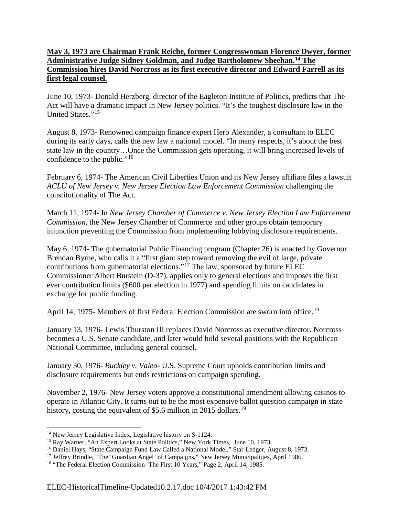#### **May 3, 1973 are Chairman Frank Reiche, former Congresswoman Florence Dwyer, former Administrative Judge Sidney Goldman, and Judge Bartholomew Sheehan.[14](#page-2-0) The Commission hires David Norcross as its first executive director and Edward Farrell as its first legal counsel.**

June 10, 1973- Donald Herzberg, director of the Eagleton Institute of Politics, predicts that The Act will have a dramatic impact in New Jersey politics. "It's the toughest disclosure law in the United States."<sup>[15](#page-2-1)</sup>

August 8, 1973- Renowned campaign finance expert Herb Alexander, a consultant to ELEC during its early days, calls the new law a national model. "In many respects, it's about the best state law in the country…Once the Commission gets operating, it will bring increased levels of confidence to the public."[16](#page-2-2)

February 6, 1974- The American Civil Liberties Union and its New Jersey affiliate files a lawsuit *ACLU of New Jersey v. New Jersey Election Law Enforcement Commission* challenging the constitutionality of The Act.

March 11, 1974- In *New Jersey Chamber of Commerce v. New Jersey Election Law Enforcement Commission,* the New Jersey Chamber of Commerce and other groups obtain temporary injunction preventing the Commission from implementing lobbying disclosure requirements.

May 6, 1974- The gubernatorial Public Financing program (Chapter 26) is enacted by Governor Brendan Byrne, who calls it a "first giant step toward removing the evil of large, private contributions from gubernatorial elections."<sup>[17](#page-2-3)</sup> The law, sponsored by future ELEC Commissioner Albert Burstein (D-37), applies only to general elections and imposes the first ever contribution limits (\$600 per election in 1977) and spending limits on candidates in exchange for public funding.

April 14, 1975- Members of first Federal Election Commission are sworn into office.<sup>[18](#page-2-4)</sup>

January 13, 1976- Lewis Thurston III replaces David Norcross as executive director. Norcross becomes a U.S. Senate candidate, and later would hold several positions with the Republican National Committee, including general counsel.

January 30, 1976- *Buckley v. Valeo*- U.S. Supreme Court upholds contribution limits and disclosure requirements but ends restrictions on campaign spending.

November 2, 1976- New Jersey voters approve a constitutional amendment allowing casinos to operate in Atlantic City. It turns out to be the most expensive ballot question campaign in state history, costing the equivalent of \$5.6 million in 2015 dollars.<sup>[19](#page-2-2)</sup>

<span id="page-2-0"></span><sup>&</sup>lt;sup>14</sup> New Jersey Legislative Index, Legislative history on S-1124.

<span id="page-2-1"></span><sup>&</sup>lt;sup>15</sup> Ray Warner, "An Expert Looks at State Politics," New York Times, June 10, 1973.

<span id="page-2-2"></span><sup>&</sup>lt;sup>16</sup> Daniel Hays, "State Campaign Fund Law Called a National Model," Star-Ledger, August 8, 1973.

<span id="page-2-3"></span><sup>&</sup>lt;sup>17</sup> Jeffrey Brindle, "The 'Guardian Angel' of Campaigns," New Jersey Municipalities, April 1986.

<span id="page-2-4"></span><sup>&</sup>lt;sup>18</sup> "The Federal Election Commission- The First 10 Years," Page 2, April 14, 1985.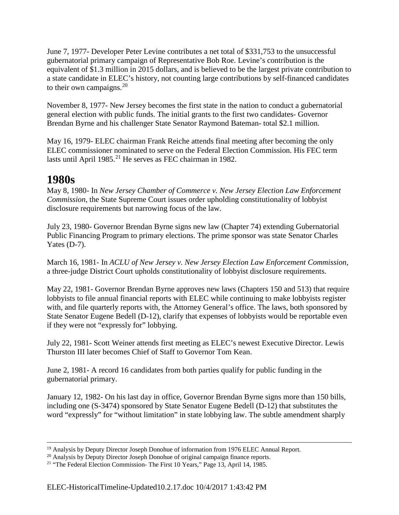June 7, 1977- Developer Peter Levine contributes a net total of \$331,753 to the unsuccessful gubernatorial primary campaign of Representative Bob Roe. Levine's contribution is the equivalent of \$1.3 million in 2015 dollars, and is believed to be the largest private contribution to a state candidate in ELEC's history, not counting large contributions by self-financed candidates to their own campaigns. $20$ 

November 8, 1977- New Jersey becomes the first state in the nation to conduct a gubernatorial general election with public funds. The initial grants to the first two candidates- Governor Brendan Byrne and his challenger State Senator Raymond Bateman- total \$2.1 million.

May 16, 1979- ELEC chairman Frank Reiche attends final meeting after becoming the only ELEC commissioner nominated to serve on the Federal Election Commission. His FEC term lasts until April 1985.<sup>[21](#page-3-1)</sup> He serves as FEC chairman in 1982.

## **1980s**

May 8, 1980- In *New Jersey Chamber of Commerce v. New Jersey Election Law Enforcement Commission*, the State Supreme Court issues order upholding constitutionality of lobbyist disclosure requirements but narrowing focus of the law.

July 23, 1980- Governor Brendan Byrne signs new law (Chapter 74) extending Gubernatorial Public Financing Program to primary elections. The prime sponsor was state Senator Charles Yates (D-7).

March 16, 1981- In *ACLU of New Jersey v. New Jersey Election Law Enforcement Commission,*  a three-judge District Court upholds constitutionality of lobbyist disclosure requirements.

May 22, 1981- Governor Brendan Byrne approves new laws (Chapters 150 and 513) that require lobbyists to file annual financial reports with ELEC while continuing to make lobbyists register with, and file quarterly reports with, the Attorney General's office. The laws, both sponsored by State Senator Eugene Bedell (D-12), clarify that expenses of lobbyists would be reportable even if they were not "expressly for" lobbying.

July 22, 1981- Scott Weiner attends first meeting as ELEC's newest Executive Director. Lewis Thurston III later becomes Chief of Staff to Governor Tom Kean.

June 2, 1981- A record 16 candidates from both parties qualify for public funding in the gubernatorial primary.

January 12, 1982- On his last day in office, Governor Brendan Byrne signs more than 150 bills, including one (S-3474) sponsored by State Senator Eugene Bedell (D-12) that substitutes the word "expressly" for "without limitation" in state lobbying law. The subtle amendment sharply

<sup>&</sup>lt;sup>19</sup> Analysis by Deputy Director Joseph Donohue of information from 1976 ELEC Annual Report.

<span id="page-3-0"></span><sup>&</sup>lt;sup>20</sup> Analysis by Deputy Director Joseph Donohue of original campaign finance reports.

<span id="page-3-1"></span><sup>&</sup>lt;sup>21</sup> "The Federal Election Commission- The First 10 Years," Page 13, April 14, 1985.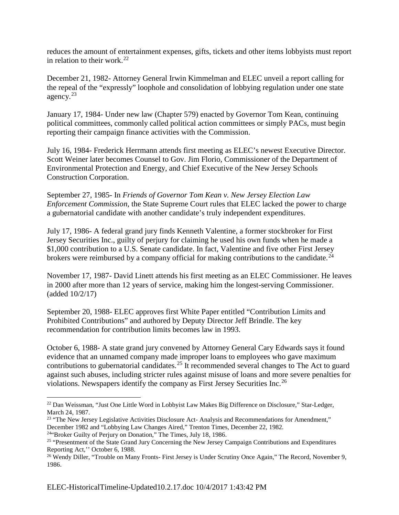reduces the amount of entertainment expenses, gifts, tickets and other items lobbyists must report in relation to their work.<sup>[22](#page-4-0)</sup>

December 21, 1982- Attorney General Irwin Kimmelman and ELEC unveil a report calling for the repeal of the "expressly" loophole and consolidation of lobbying regulation under one state agency.[23](#page-4-1)

January 17, 1984- Under new law (Chapter 579) enacted by Governor Tom Kean, continuing political committees, commonly called political action committees or simply PACs, must begin reporting their campaign finance activities with the Commission.

July 16, 1984- Frederick Herrmann attends first meeting as ELEC's newest Executive Director. Scott Weiner later becomes Counsel to Gov. Jim Florio, Commissioner of the Department of Environmental Protection and Energy, and Chief Executive of the New Jersey Schools Construction Corporation.

September 27, 1985- In *Friends of Governor Tom Kean v. New Jersey Election Law Enforcement Commission*, the State Supreme Court rules that ELEC lacked the power to charge a gubernatorial candidate with another candidate's truly independent expenditures.

July 17, 1986- A federal grand jury finds Kenneth Valentine, a former stockbroker for First Jersey Securities Inc., guilty of perjury for claiming he used his own funds when he made a \$1,000 contribution to a U.S. Senate candidate. In fact, Valentine and five other First Jersey brokers were reimbursed by a company official for making contributions to the candidate.<sup>[24](#page-4-2)</sup>

November 17, 1987- David Linett attends his first meeting as an ELEC Commissioner. He leaves in 2000 after more than 12 years of service, making him the longest-serving Commissioner. (added 10/2/17)

September 20, 1988- ELEC approves first White Paper entitled "Contribution Limits and Prohibited Contributions" and authored by Deputy Director Jeff Brindle. The key recommendation for contribution limits becomes law in 1993.

October 6, 1988- A state grand jury convened by Attorney General Cary Edwards says it found evidence that an unnamed company made improper loans to employees who gave maximum contributions to gubernatorial candidates.<sup>[25](#page-4-3)</sup> It recommended several changes to The Act to guard against such abuses, including stricter rules against misuse of loans and more severe penalties for violations. Newspapers identify the company as First Jersey Securities Inc.[26](#page-4-4)

<span id="page-4-0"></span> <sup>22</sup> Dan Weissman, "Just One Little Word in Lobbyist Law Makes Big Difference on Disclosure," Star-Ledger, March 24, 1987.

<span id="page-4-1"></span><sup>&</sup>lt;sup>23</sup> "The New Jersey Legislative Activities Disclosure Act- Analysis and Recommendations for Amendment," December 1982 and "Lobbying Law Changes Aired," Trenton Times, December 22, 1982.

<span id="page-4-2"></span> $24$ "Broker Guilty of Perjury on Donation," The Times, July 18, 1986.

<span id="page-4-3"></span><sup>&</sup>lt;sup>25</sup> "Presentment of the State Grand Jury Concerning the New Jersey Campaign Contributions and Expenditures Reporting Act,'' October 6, 1988.

<span id="page-4-4"></span><sup>&</sup>lt;sup>26</sup> Wendy Diller, "Trouble on Many Fronts- First Jersey is Under Scrutiny Once Again," The Record, November 9, 1986.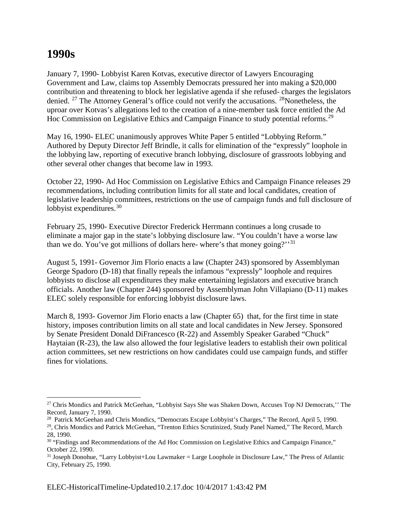### **1990s**

January 7, 1990- Lobbyist Karen Kotvas, executive director of Lawyers Encouraging Government and Law, claims top Assembly Democrats pressured her into making a \$20,000 contribution and threatening to block her legislative agenda if she refused- charges the legislators denied. <sup>[27](#page-5-0)</sup> The Attorney General's office could not verify the accusations. <sup>28</sup>Nonetheless, the uproar over Kotvas's allegations led to the creation of a nine-member task force entitled the Ad Hoc Commission on Legislative Ethics and Campaign Finance to study potential reforms.<sup>[29](#page-5-2)</sup>

May 16, 1990- ELEC unanimously approves White Paper 5 entitled "Lobbying Reform." Authored by Deputy Director Jeff Brindle, it calls for elimination of the "expressly" loophole in the lobbying law, reporting of executive branch lobbying, disclosure of grassroots lobbying and other several other changes that become law in 1993.

October 22, 1990- Ad Hoc Commission on Legislative Ethics and Campaign Finance releases 29 recommendations, including contribution limits for all state and local candidates, creation of legislative leadership committees, restrictions on the use of campaign funds and full disclosure of lobbyist expenditures.  $30<sup>30</sup>$  $30<sup>30</sup>$ 

February 25, 1990- Executive Director Frederick Herrmann continues a long crusade to eliminate a major gap in the state's lobbying disclosure law. "You couldn't have a worse law than we do. You've got millions of dollars here- where's that money going?''[31](#page-5-4)

August 5, 1991- Governor Jim Florio enacts a law (Chapter 243) sponsored by Assemblyman George Spadoro (D-18) that finally repeals the infamous "expressly" loophole and requires lobbyists to disclose all expenditures they make entertaining legislators and executive branch officials. Another law (Chapter 244) sponsored by Assemblyman John Villapiano (D-11) makes ELEC solely responsible for enforcing lobbyist disclosure laws.

March 8, 1993- Governor Jim Florio enacts a law (Chapter 65) that, for the first time in state history, imposes contribution limits on all state and local candidates in New Jersey. Sponsored by Senate President Donald DiFrancesco (R-22) and Assembly Speaker Garabed "Chuck" Haytaian (R-23), the law also allowed the four legislative leaders to establish their own political action committees, set new restrictions on how candidates could use campaign funds, and stiffer fines for violations.

<span id="page-5-0"></span><sup>&</sup>lt;sup>27</sup> Chris Mondics and Patrick McGeehan, "Lobbyist Says She was Shaken Down, Accuses Top NJ Democrats," The Record, January 7, 1990.

<span id="page-5-1"></span><sup>&</sup>lt;sup>28</sup> Patrick McGeehan and Chris Mondics, "Democrats Escape Lobbyist's Charges," The Record, April 5, 1990.

<span id="page-5-2"></span><sup>29,</sup> Chris Mondics and Patrick McGeehan, "Trenton Ethics Scrutinized, Study Panel Named," The Record, March 28, 1990.

<span id="page-5-3"></span><sup>&</sup>lt;sup>30</sup> "Findings and Recommendations of the Ad Hoc Commission on Legislative Ethics and Campaign Finance," October 22, 1990.

<span id="page-5-4"></span><sup>&</sup>lt;sup>31</sup> Joseph Donohue, "Larry Lobbyist+Lou Lawmaker = Large Loophole in Disclosure Law," The Press of Atlantic City, February 25, 1990.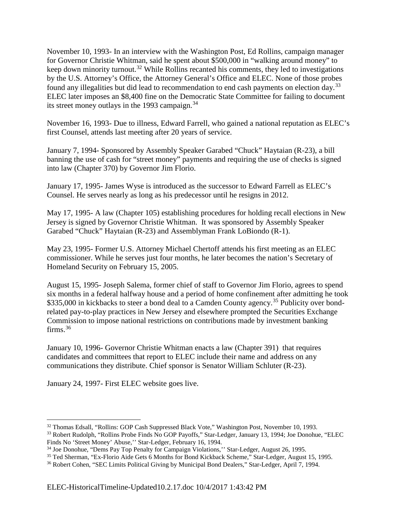November 10, 1993- In an interview with the Washington Post, Ed Rollins, campaign manager for Governor Christie Whitman, said he spent about \$500,000 in "walking around money" to keep down minority turnout.<sup>[32](#page-6-0)</sup> While Rollins recanted his comments, they led to investigations by the U.S. Attorney's Office, the Attorney General's Office and ELEC. None of those probes found any illegalities but did lead to recommendation to end cash payments on election day.<sup>[33](#page-6-1)</sup> ELEC later imposes an \$8,400 fine on the Democratic State Committee for failing to document its street money outlays in the 1993 campaign.  $34$ 

November 16, 1993- Due to illness, Edward Farrell, who gained a national reputation as ELEC's first Counsel, attends last meeting after 20 years of service.

January 7, 1994- Sponsored by Assembly Speaker Garabed "Chuck" Haytaian (R-23), a bill banning the use of cash for "street money" payments and requiring the use of checks is signed into law (Chapter 370) by Governor Jim Florio.

January 17, 1995- James Wyse is introduced as the successor to Edward Farrell as ELEC's Counsel. He serves nearly as long as his predecessor until he resigns in 2012.

May 17, 1995- A law (Chapter 105) establishing procedures for holding recall elections in New Jersey is signed by Governor Christie Whitman. It was sponsored by Assembly Speaker Garabed "Chuck" Haytaian (R-23) and Assemblyman Frank LoBiondo (R-1).

May 23, 1995- Former U.S. Attorney Michael Chertoff attends his first meeting as an ELEC commissioner. While he serves just four months, he later becomes the nation's Secretary of Homeland Security on February 15, 2005.

August 15, 1995- Joseph Salema, former chief of staff to Governor Jim Florio, agrees to spend six months in a federal halfway house and a period of home confinement after admitting he took \$3[35](#page-6-3),000 in kickbacks to steer a bond deal to a Camden County agency.<sup>35</sup> Publicity over bondrelated pay-to-play practices in New Jersey and elsewhere prompted the Securities Exchange Commission to impose national restrictions on contributions made by investment banking firms.<sup>[36](#page-6-4)</sup>

January 10, 1996- Governor Christie Whitman enacts a law (Chapter 391) that requires candidates and committees that report to ELEC include their name and address on any communications they distribute. Chief sponsor is Senator William Schluter (R-23).

January 24, 1997- First ELEC website goes live.

<span id="page-6-0"></span> <sup>32</sup> Thomas Edsall, "Rollins: GOP Cash Suppressed Black Vote," Washington Post, November 10, 1993.

<span id="page-6-1"></span><sup>&</sup>lt;sup>33</sup> Robert Rudolph, "Rollins Probe Finds No GOP Payoffs," Star-Ledger, January 13, 1994; Joe Donohue, "ELEC Finds No 'Street Money' Abuse,'' Star-Ledger, February 16, 1994.

<span id="page-6-2"></span><sup>34</sup> Joe Donohue, "Dems Pay Top Penalty for Campaign Violations,'' Star-Ledger, August 26, 1995.

<span id="page-6-3"></span><sup>35</sup> Ted Sherman, "Ex-Florio Aide Gets 6 Months for Bond Kickback Scheme," Star-Ledger, August 15, 1995.

<span id="page-6-4"></span><sup>36</sup> Robert Cohen, "SEC Limits Political Giving by Municipal Bond Dealers," Star-Ledger, April 7, 1994.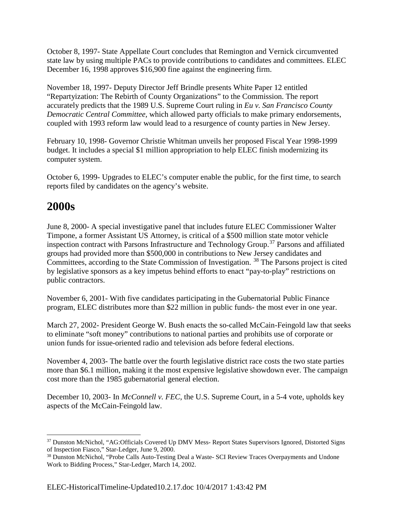October 8, 1997- State Appellate Court concludes that Remington and Vernick circumvented state law by using multiple PACs to provide contributions to candidates and committees. ELEC December 16, 1998 approves \$16,900 fine against the engineering firm.

November 18, 1997- Deputy Director Jeff Brindle presents White Paper 12 entitled "Repartyization: The Rebirth of County Organizations" to the Commission. The report accurately predicts that the 1989 U.S. Supreme Court ruling in *Eu v. San Francisco County Democratic Central Committee,* which allowed party officials to make primary endorsements, coupled with 1993 reform law would lead to a resurgence of county parties in New Jersey.

February 10, 1998- Governor Christie Whitman unveils her proposed Fiscal Year 1998-1999 budget. It includes a special \$1 million appropriation to help ELEC finish modernizing its computer system.

October 6, 1999- Upgrades to ELEC's computer enable the public, for the first time, to search reports filed by candidates on the agency's website.

# **2000s**

June 8, 2000- A special investigative panel that includes future ELEC Commissioner Walter Timpone, a former Assistant US Attorney, is critical of a \$500 million state motor vehicle inspection contract with Parsons Infrastructure and Technology Group. [37](#page-7-0) Parsons and affiliated groups had provided more than \$500,000 in contributions to New Jersey candidates and Committees, according to the State Commission of Investigation. [38](#page-7-1) The Parsons project is cited by legislative sponsors as a key impetus behind efforts to enact "pay-to-play" restrictions on public contractors.

November 6, 2001- With five candidates participating in the Gubernatorial Public Finance program, ELEC distributes more than \$22 million in public funds- the most ever in one year.

March 27, 2002- President George W. Bush enacts the so-called McCain-Feingold law that seeks to eliminate "soft money" contributions to national parties and prohibits use of corporate or union funds for issue-oriented radio and television ads before federal elections.

November 4, 2003- The battle over the fourth legislative district race costs the two state parties more than \$6.1 million, making it the most expensive legislative showdown ever. The campaign cost more than the 1985 gubernatorial general election.

December 10, 2003- In *McConnell v. FEC*, the U.S. Supreme Court, in a 5-4 vote, upholds key aspects of the McCain-Feingold law.

<span id="page-7-0"></span><sup>&</sup>lt;sup>37</sup> Dunston McNichol, "AG:Officials Covered Up DMV Mess- Report States Supervisors Ignored, Distorted Signs of Inspection Fiasco," Star-Ledger, June 9, 2000.

<span id="page-7-1"></span><sup>&</sup>lt;sup>38</sup> Dunston McNichol, "Probe Calls Auto-Testing Deal a Waste- SCI Review Traces Overpayments and Undone Work to Bidding Process," Star-Ledger, March 14, 2002.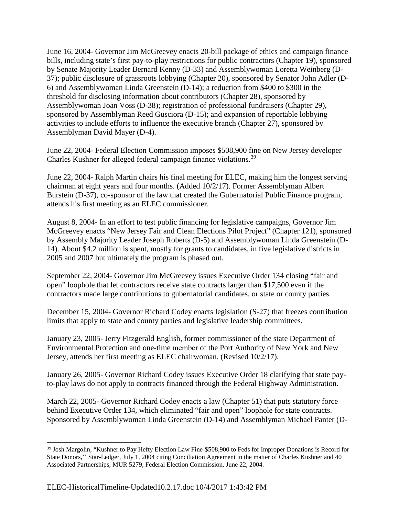June 16, 2004- Governor Jim McGreevey enacts 20-bill package of ethics and campaign finance bills, including state's first pay-to-play restrictions for public contractors (Chapter 19), sponsored by Senate Majority Leader Bernard Kenny (D-33) and Assemblywoman Loretta Weinberg (D-37); public disclosure of grassroots lobbying (Chapter 20), sponsored by Senator John Adler (D-6) and Assemblywoman Linda Greenstein (D-14); a reduction from \$400 to \$300 in the threshold for disclosing information about contributors (Chapter 28), sponsored by Assemblywoman Joan Voss (D-38); registration of professional fundraisers (Chapter 29), sponsored by Assemblyman Reed Gusciora (D-15); and expansion of reportable lobbying activities to include efforts to influence the executive branch (Chapter 27), sponsored by Assemblyman David Mayer (D-4).

June 22, 2004- Federal Election Commission imposes \$508,900 fine on New Jersey developer Charles Kushner for alleged federal campaign finance violations.[39](#page-8-0)

June 22, 2004- Ralph Martin chairs his final meeting for ELEC, making him the longest serving chairman at eight years and four months. (Added 10/2/17). Former Assemblyman Albert Burstein (D-37), co-sponsor of the law that created the Gubernatorial Public Finance program, attends his first meeting as an ELEC commissioner.

August 8, 2004- In an effort to test public financing for legislative campaigns, Governor Jim McGreevey enacts "New Jersey Fair and Clean Elections Pilot Project" (Chapter 121), sponsored by Assembly Majority Leader Joseph Roberts (D-5) and Assemblywoman Linda Greenstein (D-14). About \$4.2 million is spent, mostly for grants to candidates, in five legislative districts in 2005 and 2007 but ultimately the program is phased out.

September 22, 2004- Governor Jim McGreevey issues Executive Order 134 closing "fair and open" loophole that let contractors receive state contracts larger than \$17,500 even if the contractors made large contributions to gubernatorial candidates, or state or county parties.

December 15, 2004- Governor Richard Codey enacts legislation (S-27) that freezes contribution limits that apply to state and county parties and legislative leadership committees.

January 23, 2005- Jerry Fitzgerald English, former commissioner of the state Department of Environmental Protection and one-time member of the Port Authority of New York and New Jersey, attends her first meeting as ELEC chairwoman. (Revised 10/2/17).

January 26, 2005- Governor Richard Codey issues Executive Order 18 clarifying that state payto-play laws do not apply to contracts financed through the Federal Highway Administration.

March 22, 2005- Governor Richard Codey enacts a law (Chapter 51) that puts statutory force behind Executive Order 134, which eliminated "fair and open" loophole for state contracts. Sponsored by Assemblywoman Linda Greenstein (D-14) and Assemblyman Michael Panter (D-

<span id="page-8-0"></span><sup>39</sup> Josh Margolin, "Kushner to Pay Hefty Election Law Fine-\$508,900 to Feds for Improper Donations is Record for State Donors,'' Star-Ledger, July 1, 2004 citing Conciliation Agreement in the matter of Charles Kushner and 40 Associated Partnerships, MUR 5279, Federal Election Commission, June 22, 2004.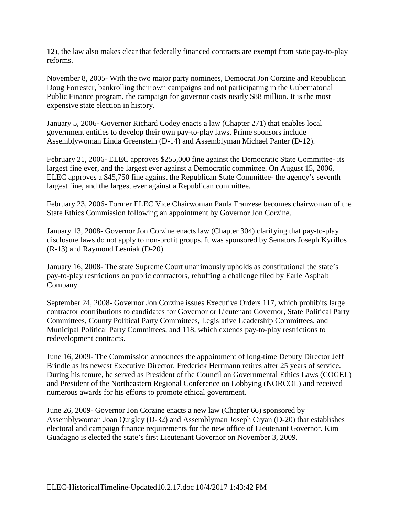12), the law also makes clear that federally financed contracts are exempt from state pay-to-play reforms.

November 8, 2005- With the two major party nominees, Democrat Jon Corzine and Republican Doug Forrester, bankrolling their own campaigns and not participating in the Gubernatorial Public Finance program, the campaign for governor costs nearly \$88 million. It is the most expensive state election in history.

January 5, 2006- Governor Richard Codey enacts a law (Chapter 271) that enables local government entities to develop their own pay-to-play laws. Prime sponsors include Assemblywoman Linda Greenstein (D-14) and Assemblyman Michael Panter (D-12).

February 21, 2006- ELEC approves \$255,000 fine against the Democratic State Committee- its largest fine ever, and the largest ever against a Democratic committee. On August 15, 2006, ELEC approves a \$45,750 fine against the Republican State Committee- the agency's seventh largest fine, and the largest ever against a Republican committee.

February 23, 2006- Former ELEC Vice Chairwoman Paula Franzese becomes chairwoman of the State Ethics Commission following an appointment by Governor Jon Corzine.

January 13, 2008- Governor Jon Corzine enacts law (Chapter 304) clarifying that pay-to-play disclosure laws do not apply to non-profit groups. It was sponsored by Senators Joseph Kyrillos (R-13) and Raymond Lesniak (D-20).

January 16, 2008- The state Supreme Court unanimously upholds as constitutional the state's pay-to-play restrictions on public contractors, rebuffing a challenge filed by Earle Asphalt Company.

September 24, 2008- Governor Jon Corzine issues Executive Orders 117, which prohibits large contractor contributions to candidates for Governor or Lieutenant Governor, State Political Party Committees, County Political Party Committees, Legislative Leadership Committees, and Municipal Political Party Committees, and 118, which extends pay-to-play restrictions to redevelopment contracts.

June 16, 2009- The Commission announces the appointment of long-time Deputy Director Jeff Brindle as its newest Executive Director. Frederick Herrmann retires after 25 years of service. During his tenure, he served as President of the Council on Governmental Ethics Laws (COGEL) and President of the Northeastern Regional Conference on Lobbying (NORCOL) and received numerous awards for his efforts to promote ethical government.

June 26, 2009- Governor Jon Corzine enacts a new law (Chapter 66) sponsored by Assemblywoman Joan Quigley (D-32) and Assemblyman Joseph Cryan (D-20) that establishes electoral and campaign finance requirements for the new office of Lieutenant Governor. Kim Guadagno is elected the state's first Lieutenant Governor on November 3, 2009.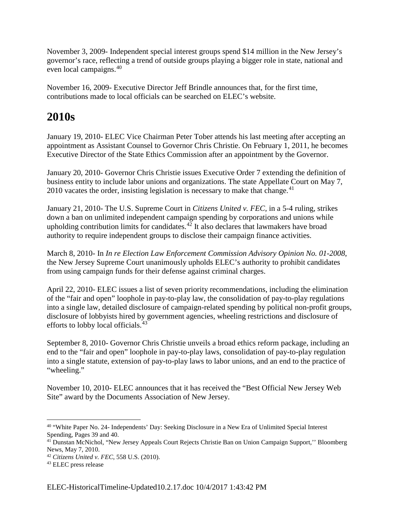November 3, 2009- Independent special interest groups spend \$14 million in the New Jersey's governor's race, reflecting a trend of outside groups playing a bigger role in state, national and even local campaigns.<sup>[40](#page-10-0)</sup>

November 16, 2009- Executive Director Jeff Brindle announces that, for the first time, contributions made to local officials can be searched on ELEC's website.

# **2010s**

January 19, 2010- ELEC Vice Chairman Peter Tober attends his last meeting after accepting an appointment as Assistant Counsel to Governor Chris Christie. On February 1, 2011, he becomes Executive Director of the State Ethics Commission after an appointment by the Governor.

January 20, 2010- Governor Chris Christie issues Executive Order 7 extending the definition of business entity to include labor unions and organizations. The state Appellate Court on May 7,  $2010$  vacates the order, insisting legislation is necessary to make that change.<sup>[41](#page-10-1)</sup>

January 21, 2010- The U.S. Supreme Court in *Citizens United v. FEC,* in a 5-4 ruling, strikes down a ban on unlimited independent campaign spending by corporations and unions while upholding contribution limits for candidates. $42$  It also declares that lawmakers have broad authority to require independent groups to disclose their campaign finance activities.

March 8, 2010- In *In re Election Law Enforcement Commission Advisory Opinion No. 01-2008*, the New Jersey Supreme Court unanimously upholds ELEC's authority to prohibit candidates from using campaign funds for their defense against criminal charges.

April 22, 2010- ELEC issues a list of seven priority recommendations, including the elimination of the "fair and open" loophole in pay-to-play law, the consolidation of pay-to-play regulations into a single law, detailed disclosure of campaign-related spending by political non-profit groups, disclosure of lobbyists hired by government agencies, wheeling restrictions and disclosure of efforts to lobby local officials.<sup>[43](#page-10-3)</sup>

September 8, 2010- Governor Chris Christie unveils a broad ethics reform package, including an end to the "fair and open" loophole in pay-to-play laws, consolidation of pay-to-play regulation into a single statute, extension of pay-to-play laws to labor unions, and an end to the practice of "wheeling."

November 10, 2010- ELEC announces that it has received the "Best Official New Jersey Web Site" award by the Documents Association of New Jersey.

<span id="page-10-0"></span> <sup>40</sup> "White Paper No. 24- Independents' Day: Seeking Disclosure in a New Era of Unlimited Special Interest Spending, Pages 39 and 40.

<span id="page-10-1"></span><sup>41</sup> Dunstan McNichol, "New Jersey Appeals Court Rejects Christie Ban on Union Campaign Support,'' Bloomberg News, May 7, 2010.

<span id="page-10-2"></span><sup>42</sup> *Citizens United v. FEC*, 558 U.S. (2010).

<span id="page-10-3"></span><sup>43</sup> ELEC press release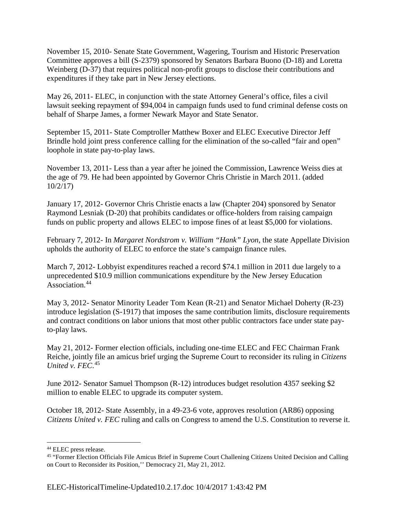November 15, 2010- Senate State Government, Wagering, Tourism and Historic Preservation Committee approves a bill (S-2379) sponsored by Senators Barbara Buono (D-18) and Loretta Weinberg (D-37) that requires political non-profit groups to disclose their contributions and expenditures if they take part in New Jersey elections.

May 26, 2011- ELEC, in conjunction with the state Attorney General's office, files a civil lawsuit seeking repayment of \$94,004 in campaign funds used to fund criminal defense costs on behalf of Sharpe James, a former Newark Mayor and State Senator.

September 15, 2011- State Comptroller Matthew Boxer and ELEC Executive Director Jeff Brindle hold joint press conference calling for the elimination of the so-called "fair and open" loophole in state pay-to-play laws.

November 13, 2011- Less than a year after he joined the Commission, Lawrence Weiss dies at the age of 79. He had been appointed by Governor Chris Christie in March 2011. (added 10/2/17)

January 17, 2012- Governor Chris Christie enacts a law (Chapter 204) sponsored by Senator Raymond Lesniak (D-20) that prohibits candidates or office-holders from raising campaign funds on public property and allows ELEC to impose fines of at least \$5,000 for violations.

February 7, 2012- In *Margaret Nordstrom v. William "Hank" Lyon*, the state Appellate Division upholds the authority of ELEC to enforce the state's campaign finance rules.

March 7, 2012- Lobbyist expenditures reached a record \$74.1 million in 2011 due largely to a unprecedented \$10.9 million communications expenditure by the New Jersey Education Association<sup>[44](#page-11-0)</sup>

May 3, 2012- Senator Minority Leader Tom Kean (R-21) and Senator Michael Doherty (R-23) introduce legislation (S-1917) that imposes the same contribution limits, disclosure requirements and contract conditions on labor unions that most other public contractors face under state payto-play laws.

May 21, 2012- Former election officials, including one-time ELEC and FEC Chairman Frank Reiche, jointly file an amicus brief urging the Supreme Court to reconsider its ruling in *Citizens United v. FEC*. [45](#page-11-1)

June 2012- Senator Samuel Thompson (R-12) introduces budget resolution 4357 seeking \$2 million to enable ELEC to upgrade its computer system.

October 18, 2012- State Assembly, in a 49-23-6 vote, approves resolution (AR86) opposing *Citizens United v. FEC* ruling and calls on Congress to amend the U.S. Constitution to reverse it.

<span id="page-11-0"></span> <sup>44</sup> ELEC press release.

<span id="page-11-1"></span><sup>&</sup>lt;sup>45</sup> "Former Election Officials File Amicus Brief in Supreme Court Challening Citizens United Decision and Calling on Court to Reconsider its Position,'' Democracy 21, May 21, 2012.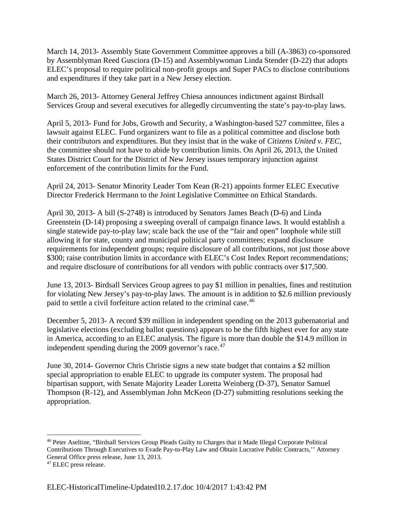March 14, 2013- Assembly State Government Committee approves a bill (A-3863) co-sponsored by Assemblyman Reed Gusciora (D-15) and Assemblywoman Linda Stender (D-22) that adopts ELEC's proposal to require political non-profit groups and Super PACs to disclose contributions and expenditures if they take part in a New Jersey election.

March 26, 2013- Attorney General Jeffrey Chiesa announces indictment against Birdsall Services Group and several executives for allegedly circumventing the state's pay-to-play laws.

April 5, 2013- Fund for Jobs, Growth and Security, a Washington-based 527 committee, files a lawsuit against ELEC. Fund organizers want to file as a political committee and disclose both their contributors and expenditures. But they insist that in the wake of *Citizens United v. FEC*, the committee should not have to abide by contribution limits. On April 26, 2013, the United States District Court for the District of New Jersey issues temporary injunction against enforcement of the contribution limits for the Fund.

April 24, 2013- Senator Minority Leader Tom Kean (R-21) appoints former ELEC Executive Director Frederick Herrmann to the Joint Legislative Committee on Ethical Standards.

April 30, 2013- A bill (S-2748) is introduced by Senators James Beach (D-6) and Linda Greenstein (D-14) proposing a sweeping overall of campaign finance laws. It would establish a single statewide pay-to-play law; scale back the use of the "fair and open" loophole while still allowing it for state, county and municipal political party committees; expand disclosure requirements for independent groups; require disclosure of all contributions, not just those above \$300; raise contribution limits in accordance with ELEC's Cost Index Report recommendations; and require disclosure of contributions for all vendors with public contracts over \$17,500.

June 13, 2013- Birdsall Services Group agrees to pay \$1 million in penalties, fines and restitution for violating New Jersey's pay-to-play laws. The amount is in addition to \$2.6 million previously paid to settle a civil forfeiture action related to the criminal case.<sup>[46](#page-12-0)</sup>

December 5, 2013- A record \$39 million in independent spending on the 2013 gubernatorial and legislative elections (excluding ballot questions) appears to be the fifth highest ever for any state in America, according to an ELEC analysis. The figure is more than double the \$14.9 million in independent spending during the 2009 governor's race.<sup>[47](#page-12-1)</sup>

June 30, 2014- Governor Chris Christie signs a new state budget that contains a \$2 million special appropriation to enable ELEC to upgrade its computer system. The proposal had bipartisan support, with Senate Majority Leader Loretta Weinberg (D-37), Senator Samuel Thompson (R-12), and Assemblyman John McKeon (D-27) submitting resolutions seeking the appropriation.

<span id="page-12-0"></span> <sup>46</sup> Peter Aseltine, "Birdsall Services Group Pleads Guilty to Charges that it Made Illegal Corporate Political Contributions Through Executives to Evade Pay-to-Play Law and Obtain Lucrative Public Contracts,'' Attorney General Office press release, June 13, 2013.

<span id="page-12-1"></span><sup>&</sup>lt;sup>47</sup> ELEC press release.